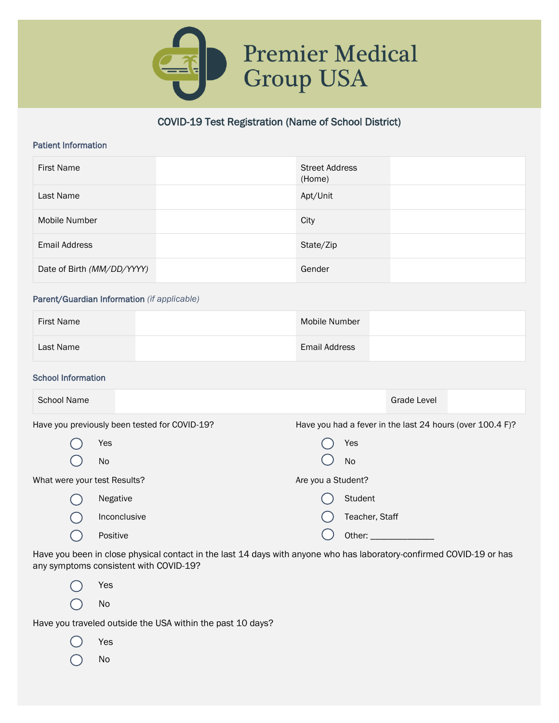

## COVID-19 Test Registration (Name of School District)

#### Patient Information

| <b>First Name</b>          | <b>Street Address</b><br>(Home) |
|----------------------------|---------------------------------|
| Last Name                  | Apt/Unit                        |
| Mobile Number              | City                            |
| Email Address              | State/Zip                       |
| Date of Birth (MM/DD/YYYY) | Gender                          |

#### Parent/Guardian Information *(if applicable)*

| <b>First Name</b> | Mobile Number |  |
|-------------------|---------------|--|
| Last Name         | Email Address |  |

#### School Information

| <b>School Name</b>           |                                               | Grade Level                                               |  |  |  |
|------------------------------|-----------------------------------------------|-----------------------------------------------------------|--|--|--|
|                              | Have you previously been tested for COVID-19? | Have you had a fever in the last 24 hours (over 100.4 F)? |  |  |  |
|                              | Yes                                           | Yes                                                       |  |  |  |
|                              | <b>No</b>                                     | <b>No</b>                                                 |  |  |  |
| What were your test Results? |                                               | Are you a Student?                                        |  |  |  |
|                              | Negative                                      | Student                                                   |  |  |  |
|                              | Inconclusive                                  | Teacher, Staff                                            |  |  |  |
|                              | Positive                                      | Other:                                                    |  |  |  |
|                              |                                               |                                                           |  |  |  |

Have you been in close physical contact in the last 14 days with anyone who has laboratory-confirmed COVID-19 or has any symptoms consistent with COVID-19?

Yes C  $\bigcap$ No

Have you traveled outside the USA within the past 10 days?

Yes C No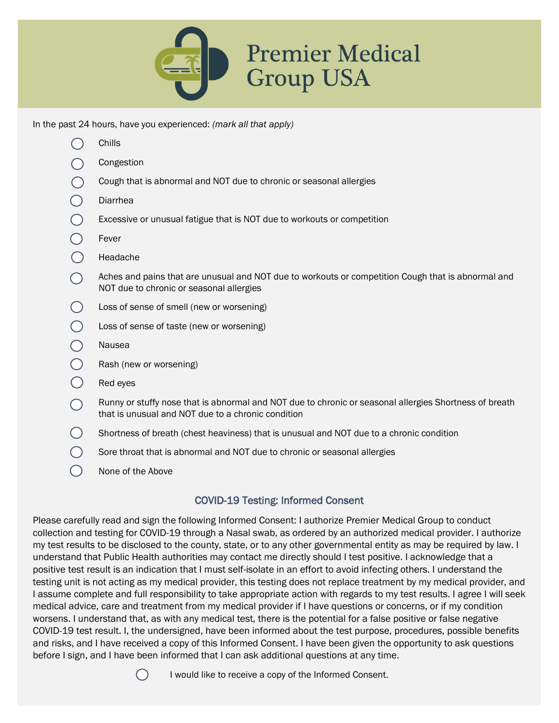

In the past 24 hours, have you experienced: *(mark all that apply)*

| Chills                                                                                                                                                       |
|--------------------------------------------------------------------------------------------------------------------------------------------------------------|
| Congestion                                                                                                                                                   |
| Cough that is abnormal and NOT due to chronic or seasonal allergies                                                                                          |
| Diarrhea                                                                                                                                                     |
| Excessive or unusual fatigue that is NOT due to workouts or competition                                                                                      |
| Fever                                                                                                                                                        |
| Headache                                                                                                                                                     |
| Aches and pains that are unusual and NOT due to workouts or competition Cough that is abnormal and<br>NOT due to chronic or seasonal allergies               |
| Loss of sense of smell (new or worsening)                                                                                                                    |
| Loss of sense of taste (new or worsening)                                                                                                                    |
| Nausea                                                                                                                                                       |
| Rash (new or worsening)                                                                                                                                      |
| Red eyes                                                                                                                                                     |
| Runny or stuffy nose that is abnormal and NOT due to chronic or seasonal allergies Shortness of breath<br>that is unusual and NOT due to a chronic condition |
| Shortness of breath (chest heaviness) that is unusual and NOT due to a chronic condition                                                                     |
| Sore throat that is abnormal and NOT due to chronic or seasonal allergies                                                                                    |
| None of the Above                                                                                                                                            |
|                                                                                                                                                              |

# COVID-19 Testing: Informed Consent

Please carefully read and sign the following Informed Consent: I authorize Premier Medical Group to conduct collection and testing for COVID-19 through a Nasal swab, as ordered by an authorized medical provider. I authorize my test results to be disclosed to the county, state, or to any other governmental entity as may be required by law. I understand that Public Health authorities may contact me directly should I test positive. I acknowledge that a positive test result is an indication that I must self-isolate in an effort to avoid infecting others. I understand the testing unit is not acting as my medical provider, this testing does not replace treatment by my medical provider, and I assume complete and full responsibility to take appropriate action with regards to my test results. I agree I will seek medical advice, care and treatment from my medical provider if I have questions or concerns, or if my condition worsens. I understand that, as with any medical test, there is the potential for a false positive or false negative COVID-19 test result. I, the undersigned, have been informed about the test purpose, procedures, possible benefits and risks, and I have received a copy of this Informed Consent. I have been given the opportunity to ask questions before I sign, and I have been informed that I can ask additional questions at any time.



I would like to receive a copy of the Informed Consent.